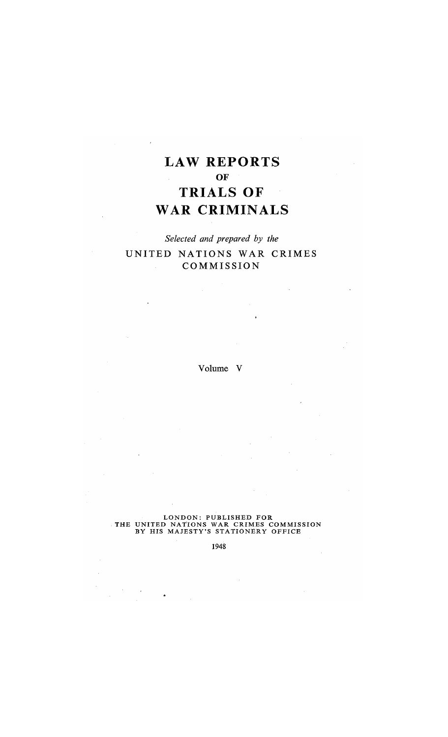# **LAW REPORTS OF TRIALS OF WAR CRIMINALS**

## *Selected and prepared by the*  UNITED NATIONS WAR CRIMES COMMISSION

Volume V

#### LONDON: PUBLISHED FOR . THE UNITED NATIONS WAR CRIMES COMMISSION BY HIS MAJESTY'S STATIONERY OFFICE

1948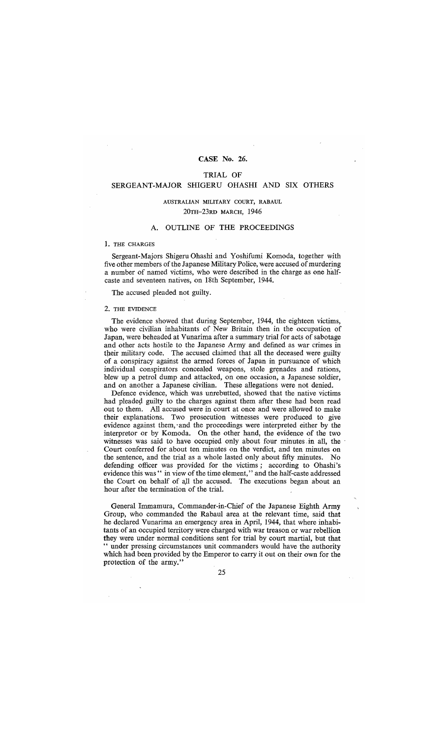## CASE No. 26.

## TRIAL OF

## SERGEANT-MAJOR SHIGERU OHASHI AND SIX OTHERS

## AUSTRALIAN MILITARY COURT, RABAUL 20TH-23RD MARCH, 1946

## A. OUTLINE OF THE PROCEEDINGS

#### 1. THE CHARGES

Sergeant-Majors Shigeru Ohashi and Yoshifumi Komoda, together with five other members of the Japanese Military Police, were accused of murdering a number of named victims, who were described in the charge as one halfcaste and seventeen natives, on 18th September, 1944.

The accused pleaded not guilty.

#### 2. THE EVIDENCE

The evidence showed that during September, 1944, the eighteen victims, who were civilian inhabitants of New Britain then in the occupation of Japan, were beheaded at Vunarima after a summary trial for acts of sabotage and other acts hostile to the Japanese Army and defined as war crimes in their military code. The accused claimed that all the deceased were guilty of a conspiracy against the armed forces of Japan in pursuance of which individual conspirators concealed weapons, stole grenades and rations, blew up a petrol dump and attacked, on one occasion; a Japanese soldier, and on another a Japanese civilian. These allegations were not denied.

Defence evidence, which was unrebutted, showed that the native victims had pleaded guilty to the charges against them after these had been read out to them. All accused were in court at once and were allowed to make their explanations. Two prosecution witnesses were produced to give evidence against them,' and the proceedings were interpreted either by the interpretor or by Komoda. On the other hand, the evidence of the two witnesses was said to have occupied only about four minutes in all, the Court conferred for about ten minutes on the verdict, and ten minutes on the sentence, and the trial as a whole lasted only about fifty minutes. No defending officer was provided for the victims; according to Ohashi's evidence this was " in view of the time element," and the half-caste addressed the Court on behalf of aU the accused. The executions began about an hour after the termination of the trial.

General Immamura, Commander-in-Chief of the Japanese Eighth Army Group, who commanded the Rabaul area at the relevant time, said that he declared Vunarima an emergency area in April, 1944, that where inhabitants of an occupied territorywere charged with war treason or war rebellion they were under normal conditions sent for trial by court martial, but that " under pressing circumstances unit commanders would have the authority which had been provided by the Emperor to carry it out on their own for the protection of the army."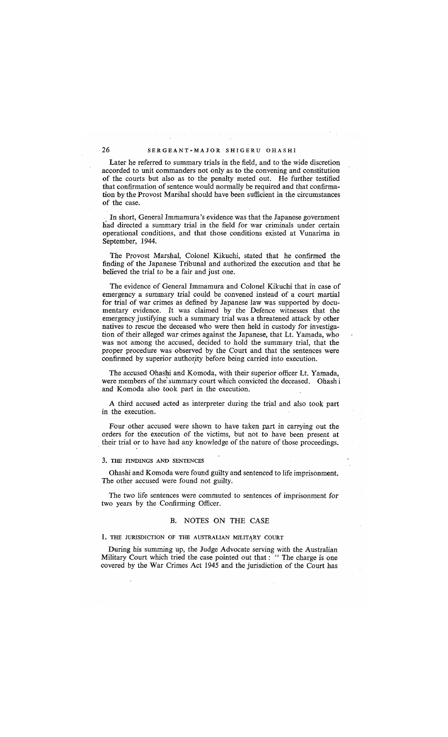Later he referred to summary trials in the field, and to the wide discretion accorded to unit commanders not only as to the convening and constitution of the courts but also as to the penalty meted out. He further testified that confirmation of sentence would normally be required and that confirmation by the Provost Marshal should have been sufficient in the circumstances of the case.

. In short, General Immamura's evidence was that the Japanese government had directed a summary trial in the field for war criminals under certain operational conditions, and that those conditions existed at Vunarima in September, 1944.

The Provost Marshal, Colonel Kikuchi, stated that he confirmed the finding of the Japanese Tribunal and authorized the execution and that he believed the trial to be a fair and just one.

The evidence of General Immamura and Colonel Kikuchi that in case of emergency a summary trial could be convened instead of a court martial for trial of war crimes as defined by Japanese law was supported by documentary evidence. It was claimed by the Defence witnesses that the emergency justifying such a summary trial was a threatened attack by other natives to rescue the deceased who were then held in custody for investigation of their alleged war crimes against the Japanese, that Lt. Yamada, who was not among the accused, decided to hold the summary trial, that the proper procedure was observed by the Court and that the sentences were confirmed by superior authority before being carried into execution.

The accused Ohashi and Komoda, with their superior officer Lt. Yamada, were members of the summary court which convicted the deceased. Ohash i and Komoda also took part in the execution.

A third accused acted as interpreter during the trial and also took part in the execution.

Four other accused were shown to have taken part in carrying out the orders for the execution of the victims, but not to have been present at . their trial or to have had any knowledge of the nature of those proceedings.

#### 3. THE FINDINGS AND SENTENCES

Ohashi and Komoda were found guilty and sentenced to life imprisonment. The other accused were found not guilty.

The two life sentences were commuted to sentences of imprisonment for two years by the Confirming Officer.

### B. NOTES ON THE CASE

1. THE JURISDICTION OF THE AUSTRALIAN MILITARY COURT

During his summing up, the Judge Advocate serving with the Australian Military Court which tried the case pointed out that: "The charge is one covered by the War Crimes Act 1945 and the jurisdiction of the Court has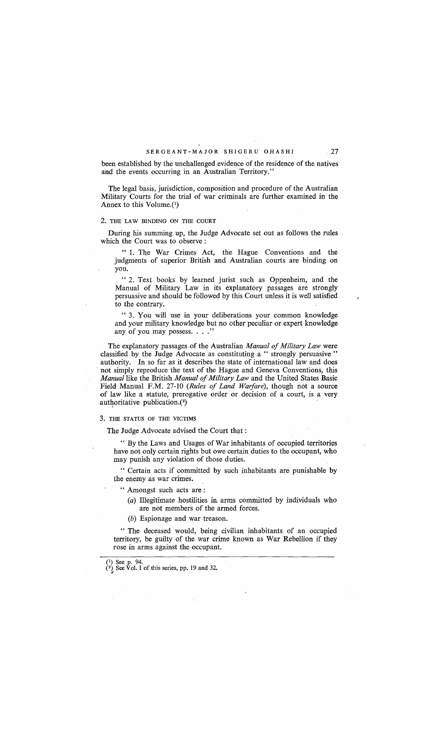been established by the unchallenged evidence of the residence of the natives and the events occurring in an Australian Territory."

The legal basis, jurisdiction, composition and procedure of the Australian Military Courts for the trial of war criminals are further examined in the Annex to this Volume. $(1)$ 

## 2. THE LAW BINDING ON THE COURT

During his summing up, the Judge Advocate set out as follows the rules which the Court was to observe:

" 1. The War Crimes Act, the Hague Conventions and the judgments of superior British and Australian courts are binding on you.

" 2. Text books by learned jurist such as Oppenheim, and the Manual of Military Law in its explanatory passages are strongly persuasive and should be followed by this Court unless it is well satisfied to the contrary.

" 3. You will use in your deliberations your common knowledge and your military knowledge but no other peculiar or expert knowledge any of you may possess. . . ."

The explanatory passages of the Australian *Manual of Military Law* were classified by the Judge Advocate as constituting a " strongly persuasive" authority. In so far as it describes the state of international law and does . not simply reproduce the text of the Hague and Geneva Conventions, this *Manual* like the British *Manual of Military Law* and the United States Basic Field Manual F.M. 27-10 *(Rules of Land Warfare),* though not a source of law like a statute, prerogative order or decision of a court, is a very authoritative publication. $(2)$ 

3. THE STATUS OF THE VICTIMS

The Judge Advocate advised the Court that:

" By the Laws and Usages of War inhabitants of occupied territories have not only certain rights but owe certain duties to the occupant, who may punish any violation of those duties.

" Certain acts if committed by such inhabitants are punishable by the enemy as war crimes.

" Amongst such acts are:

 $(a)$  Illegitimate hostilities in arms committed by individuals who are not members of the armed forces.

 $(b)$  Espionage and war treason.

" The deceased would, being civilian inhabitants of an occupied territory, be guilty of the war crime known as War Rebellion if they rose in arms against the occupant.

<sup>(&</sup>lt;sup>1</sup>) See p. 94.<br>(<sup>2</sup>) See Vol. I of this series, pp. 19 and 32.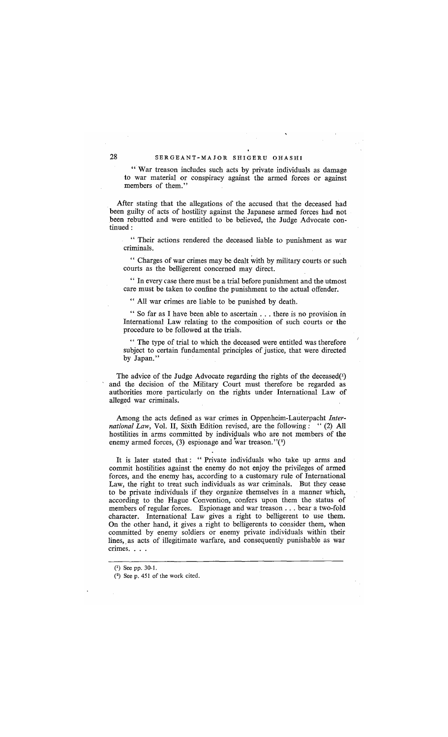" War treason includes such acts by private individuals as damage to war material or conspiracy against the armed forces or against members of them."

*Mter* stating that the allegations of the accused that the deceased had been guilty of acts of hostility against the Japanese armed forces had not been rebutted and were, entitled to be believed, the Judge Advocate continued:

" Their actions rendered the deceased liable to punishment as war criminals.

" Charges of war crimes may be dealt with by military courts or such courts as the belligerent concerned may direct.

" In every case there must be a trial before punishment and the utmost care must be taken to confine the punishment to the actual offender.

" All war crimes are liable to be punished by death.

" So far as I have been able to ascertain ... there is no provision in International Law relating to the composition of such courts or the procedure to be followed at the trials.

" The type of trial to which the deceased were entitled was therefore subject to certain fundamental principles of justice, that were directed by Japan."

The advice of the Judge Advocate regarding the rights of the deceased $(1)$ and the decision of the Military Court must therefore be regarded as authorities more particularly on the rights under International Law of alleged war criminals.

Among the acts defined as war crimes in Oppenheim-Lauterpacht *International Law,* Vol. II, Sixth Edition revised, are the following: "(2) All hostilities in arms committed by individuals who are not members of the enemy armed forces, (3) espionage and war treason." $(2)$ 

It is later stated that: "Private individuals who take up arms and commit hostilities against the enemy do not enjoy the privileges of armed forces, and the enemy has, according to a customary rule of International Law, the right to treat such individuals as war criminals. But they cease to be private individuals if they organize themselves in a manner which, according to the Hague Convention, confers upon them the status of members of regular forces. Espionage and war treason . . . bear a two-fold character. International Law gives a right to belligerent to use them. On the other hand, it gives a right to belligerents to consider them, when committed by enemy soldiers or enemy private individuals within their lines, as acts of illegitimate warfare, and consequently punishable as war crimes....

<sup>(1)</sup> See pp. 30-1.

<sup>(2)</sup> See p. 451 of the work cited.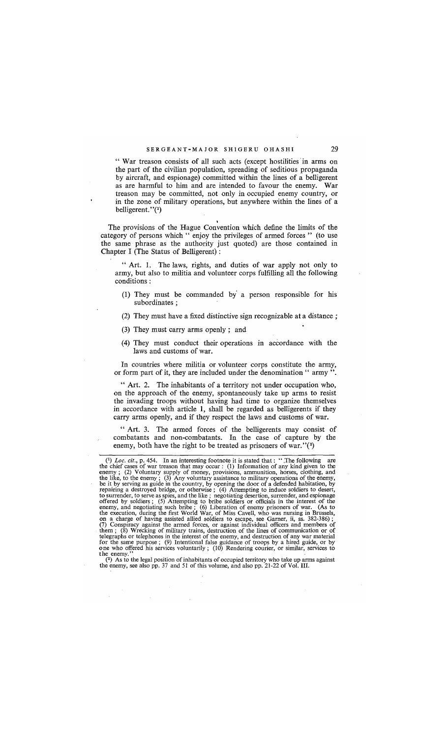" War treason consists of all such acts (except hostilities' in arms on the part of the civilian population, spreading of seditious propaganda by aircraft, and espionage) committed within the lines of a belligerent as are harmful to him and are intended to favour the enemy. War treason may be committed, not only in occupied enemy country, or in the zone of military operations, but anywhere within the lines of a belligerent." $(1)$ 

• The provisions of the Hague Convention which define the limits of the category of persons which " enjoy the privileges of armed forces" (to use the same phrase as the authority just quoted) are those contained in Chapter I (The Status of Belligerent) :

"Art. 1. The laws, rights, and duties of war apply not only to army, but also to militia and volunteer corps fulfilling all the following conditions:

- (1) They must be commanded by a person responsible for his subordinates ;
- (2) They must have a fixed distinctive sign recognizable at a distance;
- (3) They must carry arms openly; and
- (4) They must conduct their operations in accordance with the laws and customs of war.

In countries where militia or volunteer corps constitute the army, or form part of it, they are included under the denomination " army".

" Art. 2. The inhabitants of a territory not under occupation who, on the approach of the enemy, spontaneously take up arms to resist the invading troops without having had time to organize themselves in accordance with article 1, shall be regarded as belligerents if they carry arms openly, and if they respect the laws and customs of war.

" Art. 3. The armed forces of the belligerents may consist of combatants and non-combatants. In the case of capture by the enemy, both have the right to be treated as prisoners of war." $(2)$ 

(2) As to the legal position of inhabitants of occupied territory who take up arms against the enemy, see also pp. 37 and 51 of this volume, and also pp. 21-22 of Vol. III.

<sup>(1)</sup> *Loc, cit.,* p. 454. In an interesting footnote it is stated that: ".The following are the chief cases of war treason that may occur: (1) Information of any kind given to the enemy; (2) Voluntary supply of money, provisions, ammunition, horses, clothing, and<br>the like, to the enemy; (3) Any voluntary assistance to military operations of the enemy,<br>be it by serving as guide in the country, by ope to surrender, to serve as spies, and the like; negotiating desertion, surrender, and espionage offered by soldiers; (5) Attempting to bribe soldiers or officials in the interest of the enemy, and negotiating such bribe; (6 the execution, during the first World War, of Miss Cavell, who was nursing in Brussels,<br>on a charge of having assisted allied soldiers to escape, see Garner, ii, ss. 382-386);<br>(7) Conspiracy against the armed forces, or ag for the same purpose; (9) Intentional false guidance of troops by a hired guide, or by one who offered his services voluntarily; (10) Rendering courier, or similar, services to the enemy."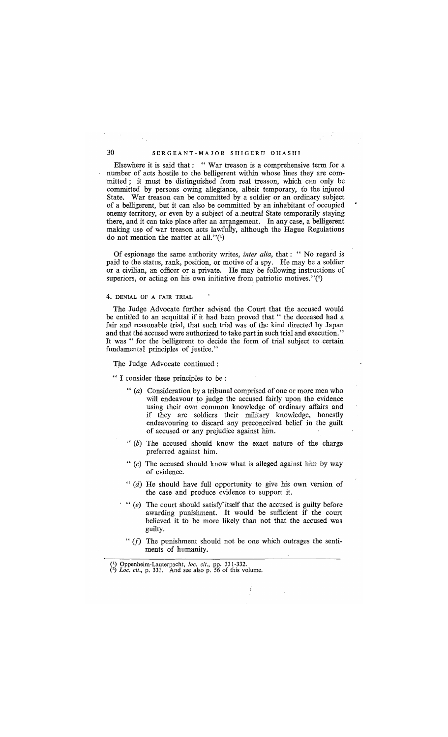## 30 SERGEANT-MAJOR SHIGERU OHASHI

Elsewhere it is said that: " War treason is a comprehensive term for a number of acts hostile to the belligerent within whose lines they are committed; it must be distinguished from real treason, which can only be committed by persons owing allegiance, albeit temporary, to the injured State. War treason can be committed by a soldier or an ordinary subject of a belligerent, but it can also be committed by an inhabitant of occupied enemy territory, or even by a subject of a neutral State temporarily staying there, and it can take place after an arrangement. **In** any case, a belligerent making use of war treason acts lawfully, although the Hague Regulations do not mention the matter at all." $(1)$ 

Of espionage the same authority writes, *inter alia*, that: "No regard is paid to the status, rank, position, or motive of a spy. He may be a soldier or a civilian, an officer or a private. He may be following instructions of superiors, or acting on his own initiative from patriotic motives." $(2)$ 

4. DENIAL OF A FAIR TRIAL

The Judge Advocate further advised the Court that the accused would be entitled to an acquittal if it had been proved that " the deceased had a fair and reasonable trial, that such trial was of the kind directed by Japan and that the accused were authorized to take part in such trial and execution. " It was " for the belligerent to decide the form of trial subject to certain fundamental principles of justice."

The Judge Advocate continued:

" I consider these principles to be :

- *"(a)* Consideration by a tribunal comprised of one or more men who will endeavour to judge the accused fairly upon the evidence using their own common knowledge of ordinary affairs and if they are soldiers their military knowledge, honestly endeavouring to discard any preconceived belief in the guilt of accused or any prejudice against him.
- $''$  (b) The accused should know the exact nature of the charge preferred against him.
- "  $(c)$  The accused should know what is alleged against him by way of evidence.
- "  $(d)$  He should have full opportunity to give his own version of the case and produce evidence to support it.
- *"(e)* The court should satisfy"itself that the accused is guilty before awarding punishment. It would be sufficient if the court believed it to be more likely than not that the accused was guilty.
- " $(f)$  The punishment should not be one which outrages the sentiments of humanity.

(1) Oppenheim-Lauterpacht, *loco cit.,* pp. 331-332. *(2) Loc. cit.,* p. 331. And see also p. 56 of this volume.